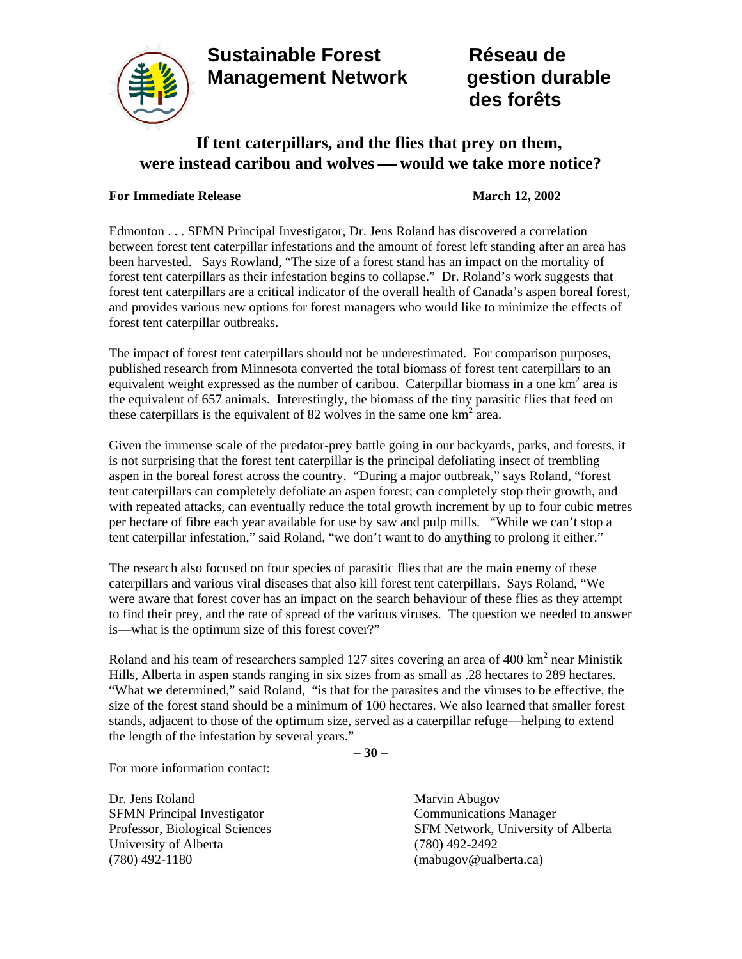## **Sustainable Forest Réseau de Management Network gestion durable**



# **des forêts**

### **If tent caterpillars, and the flies that prey on them, were instead caribou and wolves — would we take more notice?**

#### **For Immediate Release March 12, 2002**

Edmonton . . . SFMN Principal Investigator, Dr. Jens Roland has discovered a correlation between forest tent caterpillar infestations and the amount of forest left standing after an area has been harvested. Says Rowland, "The size of a forest stand has an impact on the mortality of forest tent caterpillars as their infestation begins to collapse." Dr. Roland's work suggests that forest tent caterpillars are a critical indicator of the overall health of Canada's aspen boreal forest, and provides various new options for forest managers who would like to minimize the effects of forest tent caterpillar outbreaks.

The impact of forest tent caterpillars should not be underestimated. For comparison purposes, published research from Minnesota converted the total biomass of forest tent caterpillars to an equivalent weight expressed as the number of caribou. Caterpillar biomass in a one  $km<sup>2</sup>$  area is the equivalent of 657 animals. Interestingly, the biomass of the tiny parasitic flies that feed on these caterpillars is the equivalent of 82 wolves in the same one  $km<sup>2</sup>$  area.

Given the immense scale of the predator-prey battle going in our backyards, parks, and forests, it is not surprising that the forest tent caterpillar is the principal defoliating insect of trembling aspen in the boreal forest across the country. "During a major outbreak," says Roland, "forest tent caterpillars can completely defoliate an aspen forest; can completely stop their growth, and with repeated attacks, can eventually reduce the total growth increment by up to four cubic metres per hectare of fibre each year available for use by saw and pulp mills. "While we can't stop a tent caterpillar infestation," said Roland, "we don't want to do anything to prolong it either."

The research also focused on four species of parasitic flies that are the main enemy of these caterpillars and various viral diseases that also kill forest tent caterpillars. Says Roland, "We were aware that forest cover has an impact on the search behaviour of these flies as they attempt to find their prey, and the rate of spread of the various viruses. The question we needed to answer is—what is the optimum size of this forest cover?"

Roland and his team of researchers sampled 127 sites covering an area of 400  $\text{km}^2$  near Ministik Hills, Alberta in aspen stands ranging in six sizes from as small as .28 hectares to 289 hectares. "What we determined," said Roland, "is that for the parasites and the viruses to be effective, the size of the forest stand should be a minimum of 100 hectares. We also learned that smaller forest stands, adjacent to those of the optimum size, served as a caterpillar refuge—helping to extend the length of the infestation by several years."

− **30** −

For more information contact:

Dr. Jens Roland Marvin Abugov SFMN Principal Investigator Communications Manager University of Alberta (780) 492-2492 (780) 492-1180 (mabugov@ualberta.ca)

Professor, Biological Sciences SFM Network, University of Alberta